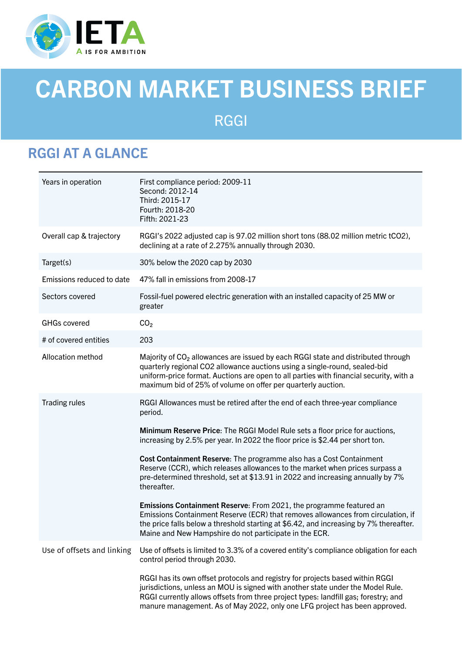

# CARBON MARKET BUSINESS BRIEF

## RGGI

### RGGI AT A GLANCE

| Years in operation         | First compliance period: 2009-11<br>Second: 2012-14<br>Third: 2015-17<br>Fourth: 2018-20<br>Fifth: 2021-23                                                                                                                                                                                                                            |
|----------------------------|---------------------------------------------------------------------------------------------------------------------------------------------------------------------------------------------------------------------------------------------------------------------------------------------------------------------------------------|
| Overall cap & trajectory   | RGGI's 2022 adjusted cap is 97.02 million short tons (88.02 million metric tCO2),<br>declining at a rate of 2.275% annually through 2030.                                                                                                                                                                                             |
| Target(s)                  | 30% below the 2020 cap by 2030                                                                                                                                                                                                                                                                                                        |
| Emissions reduced to date  | 47% fall in emissions from 2008-17                                                                                                                                                                                                                                                                                                    |
| Sectors covered            | Fossil-fuel powered electric generation with an installed capacity of 25 MW or<br>greater                                                                                                                                                                                                                                             |
| <b>GHGs covered</b>        | CO <sub>2</sub>                                                                                                                                                                                                                                                                                                                       |
| # of covered entities      | 203                                                                                                                                                                                                                                                                                                                                   |
| Allocation method          | Majority of CO <sub>2</sub> allowances are issued by each RGGI state and distributed through<br>quarterly regional CO2 allowance auctions using a single-round, sealed-bid<br>uniform-price format. Auctions are open to all parties with financial security, with a<br>maximum bid of 25% of volume on offer per quarterly auction.  |
| <b>Trading rules</b>       | RGGI Allowances must be retired after the end of each three-year compliance<br>period.                                                                                                                                                                                                                                                |
|                            | Minimum Reserve Price: The RGGI Model Rule sets a floor price for auctions,<br>increasing by 2.5% per year. In 2022 the floor price is \$2.44 per short ton.                                                                                                                                                                          |
|                            | Cost Containment Reserve: The programme also has a Cost Containment<br>Reserve (CCR), which releases allowances to the market when prices surpass a<br>pre-determined threshold, set at \$13.91 in 2022 and increasing annually by 7%<br>thereafter.                                                                                  |
|                            | Emissions Containment Reserve: From 2021, the programme featured an<br>Emissions Containment Reserve (ECR) that removes allowances from circulation, if<br>the price falls below a threshold starting at \$6.42, and increasing by 7% thereafter.<br>Maine and New Hampshire do not participate in the ECR.                           |
| Use of offsets and linking | Use of offsets is limited to 3.3% of a covered entity's compliance obligation for each<br>control period through 2030.                                                                                                                                                                                                                |
|                            | RGGI has its own offset protocols and registry for projects based within RGGI<br>jurisdictions, unless an MOU is signed with another state under the Model Rule.<br>RGGI currently allows offsets from three project types: landfill gas; forestry; and<br>manure management. As of May 2022, only one LFG project has been approved. |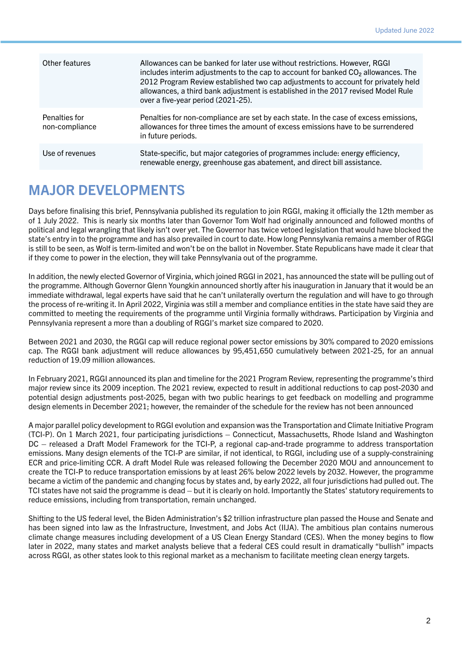| Other features                  | Allowances can be banked for later use without restrictions. However, RGGI<br>includes interim adjustments to the cap to account for banked CO <sub>2</sub> allowances. The<br>2012 Program Review established two cap adjustments to account for privately held<br>allowances, a third bank adjustment is established in the 2017 revised Model Rule<br>over a five-year period (2021-25). |
|---------------------------------|---------------------------------------------------------------------------------------------------------------------------------------------------------------------------------------------------------------------------------------------------------------------------------------------------------------------------------------------------------------------------------------------|
| Penalties for<br>non-compliance | Penalties for non-compliance are set by each state. In the case of excess emissions,<br>allowances for three times the amount of excess emissions have to be surrendered<br>in future periods.                                                                                                                                                                                              |
| Use of revenues                 | State-specific, but major categories of programmes include: energy efficiency,<br>renewable energy, greenhouse gas abatement, and direct bill assistance.                                                                                                                                                                                                                                   |

### MAJOR DEVELOPMENTS

Days before finalising this brief, Pennsylvania published its regulation to join RGGI, making it officially the 12th member as of 1 July 2022. This is nearly six months later than Governor Tom Wolf had originally announced and followed months of political and legal wrangling that likely isn't over yet. The Governor has twice vetoed legislation that would have blocked the state's entry in to the programme and has also prevailed in court to date. How long Pennsylvania remains a member of RGGI is still to be seen, as Wolf is term-limited and won't be on the ballot in November. State Republicans have made it clear that if they come to power in the election, they will take Pennsylvania out of the programme.

In addition, the newly elected Governor of Virginia, which joined RGGI in 2021, has announced the state will be pulling out of the programme. Although Governor Glenn Youngkin announced shortly after his inauguration in January that it would be an immediate withdrawal, legal experts have said that he can't unilaterally overturn the regulation and will have to go through the process of re-writing it. In April 2022, Virginia was still a member and compliance entities in the state have said they are committed to meeting the requirements of the programme until Virginia formally withdraws. Participation by Virginia and Pennsylvania represent a more than a doubling of RGGI's market size compared to 2020.

Between 2021 and 2030, the RGGI cap will reduce regional power sector emissions by 30% compared to 2020 emissions cap. The RGGI bank adjustment will reduce allowances by 95,451,650 cumulatively between 2021-25, for an annual reduction of 19.09 million allowances.

In February 2021, RGGI announced its plan and timeline for the 2021 Program Review, representing the programme's third major review since its 2009 inception. The 2021 review, expected to result in additional reductions to cap post-2030 and potential design adjustments post-2025, began with two public hearings to get feedback on modelling and programme design elements in December 2021; however, the remainder of the schedule for the review has not been announced

A major parallel policy development to RGGI evolution and expansion was the Transportation and Climate Initiative Program (TCI-P). On 1 March 2021, four participating jurisdictions – Connecticut, Massachusetts, Rhode Island and Washington DC – released a Draft Model Framework for the TCI-P, a regional cap-and-trade programme to address transportation emissions. Many design elements of the TCI-P are similar, if not identical, to RGGI, including use of a supply-constraining ECR and price-limiting CCR. A draft Model Rule was released following the December 2020 MOU and announcement to create the TCI-P to reduce transportation emissions by at least 26% below 2022 levels by 2032. However, the programme became a victim of the pandemic and changing focus by states and, by early 2022, all four jurisdictions had pulled out. The TCI states have not said the programme is dead – but it is clearly on hold. Importantly the States' statutory requirements to reduce emissions, including from transportation, remain unchanged.

Shifting to the US federal level, the Biden Administration's \$2 trillion infrastructure plan passed the House and Senate and has been signed into law as the Infrastructure, Investment, and Jobs Act (IIJA). The ambitious plan contains numerous climate change measures including development of a US Clean Energy Standard (CES). When the money begins to flow later in 2022, many states and market analysts believe that a federal CES could result in dramatically "bullish" impacts across RGGI, as other states look to this regional market as a mechanism to facilitate meeting clean energy targets.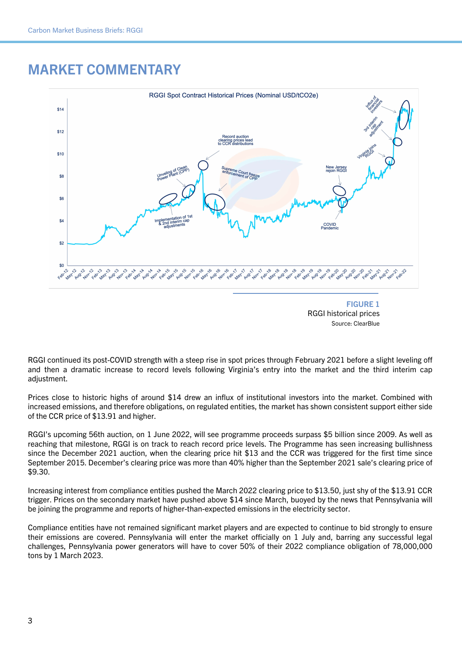#### MARKET COMMENTARY





RGGI continued its post-COVID strength with a steep rise in spot prices through February 2021 before a slight leveling off and then a dramatic increase to record levels following Virginia's entry into the market and the third interim cap adiustment.

Prices close to historic highs of around \$14 drew an influx of institutional investors into the market. Combined with increased emissions, and therefore obligations, on regulated entities, the market has shown consistent support either side of the CCR price of \$13.91 and higher.

RGGI's upcoming 56th auction, on 1 June 2022, will see programme proceeds surpass \$5 billion since 2009. As well as reaching that milestone, RGGI is on track to reach record price levels. The Programme has seen increasing bullishness since the December 2021 auction, when the clearing price hit \$13 and the CCR was triggered for the first time since September 2015. December's clearing price was more than 40% higher than the September 2021 sale's clearing price of \$9.30.

Increasing interest from compliance entities pushed the March 2022 clearing price to \$13.50, just shy of the \$13.91 CCR trigger. Prices on the secondary market have pushed above \$14 since March, buoyed by the news that Pennsylvania will be joining the programme and reports of higher-than-expected emissions in the electricity sector.

Compliance entities have not remained significant market players and are expected to continue to bid strongly to ensure their emissions are covered. Pennsylvania will enter the market officially on 1 July and, barring any successful legal challenges, Pennsylvania power generators will have to cover 50% of their 2022 compliance obligation of 78,000,000 tons by 1 March 2023.